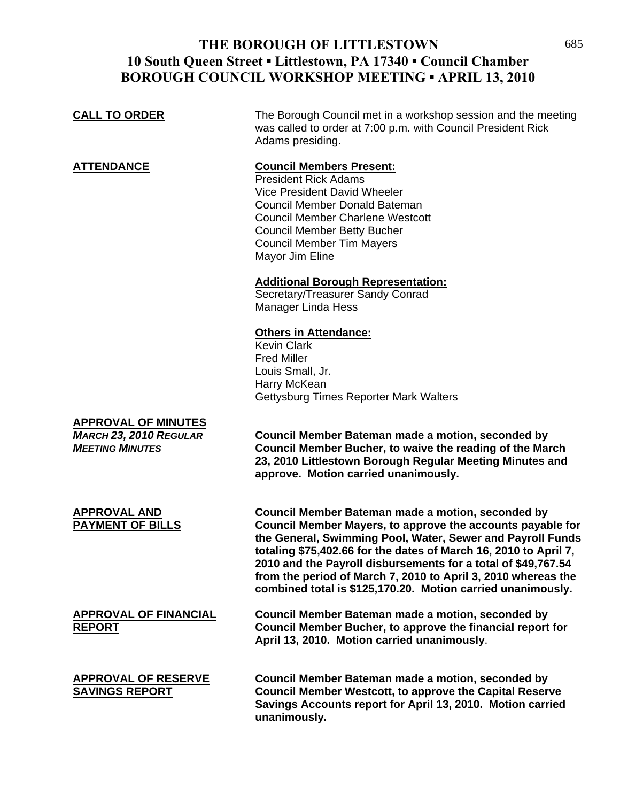# **THE BOROUGH OF LITTLESTOWN 10 South Queen Street ▪ Littlestown, PA 17340 ▪ Council Chamber BOROUGH COUNCIL WORKSHOP MEETING ▪ APRIL 13, 2010**

| <b>CALL TO ORDER</b>                                                                  | The Borough Council met in a workshop session and the meeting<br>was called to order at 7:00 p.m. with Council President Rick<br>Adams presiding.                                                                                                                                                                                                                                                                                                  |
|---------------------------------------------------------------------------------------|----------------------------------------------------------------------------------------------------------------------------------------------------------------------------------------------------------------------------------------------------------------------------------------------------------------------------------------------------------------------------------------------------------------------------------------------------|
| <b>ATTENDANCE</b>                                                                     | <b>Council Members Present:</b><br><b>President Rick Adams</b><br>Vice President David Wheeler<br>Council Member Donald Bateman<br><b>Council Member Charlene Westcott</b><br><b>Council Member Betty Bucher</b><br><b>Council Member Tim Mayers</b><br>Mayor Jim Eline                                                                                                                                                                            |
|                                                                                       | <b>Additional Borough Representation:</b><br>Secretary/Treasurer Sandy Conrad<br>Manager Linda Hess                                                                                                                                                                                                                                                                                                                                                |
|                                                                                       | <b>Others in Attendance:</b><br><b>Kevin Clark</b><br><b>Fred Miller</b><br>Louis Small, Jr.<br>Harry McKean<br>Gettysburg Times Reporter Mark Walters                                                                                                                                                                                                                                                                                             |
| <b>APPROVAL OF MINUTES</b><br><b>MARCH 23, 2010 REGULAR</b><br><b>MEETING MINUTES</b> | Council Member Bateman made a motion, seconded by<br>Council Member Bucher, to waive the reading of the March<br>23, 2010 Littlestown Borough Regular Meeting Minutes and<br>approve. Motion carried unanimously.                                                                                                                                                                                                                                  |
| <b>APPROVAL AND</b><br><b>PAYMENT OF BILLS</b>                                        | Council Member Bateman made a motion, seconded by<br>Council Member Mayers, to approve the accounts payable for<br>the General, Swimming Pool, Water, Sewer and Payroll Funds<br>totaling \$75,402.66 for the dates of March 16, 2010 to April 7,<br>2010 and the Payroll disbursements for a total of \$49,767.54<br>from the period of March 7, 2010 to April 3, 2010 whereas the<br>combined total is \$125,170.20. Motion carried unanimously. |
| <b>APPROVAL OF FINANCIAL</b><br><b>REPORT</b>                                         | Council Member Bateman made a motion, seconded by<br>Council Member Bucher, to approve the financial report for<br>April 13, 2010. Motion carried unanimously.                                                                                                                                                                                                                                                                                     |
| <b>APPROVAL OF RESERVE</b><br><b>SAVINGS REPORT</b>                                   | Council Member Bateman made a motion, seconded by<br><b>Council Member Westcott, to approve the Capital Reserve</b><br>Savings Accounts report for April 13, 2010. Motion carried<br>unanimously.                                                                                                                                                                                                                                                  |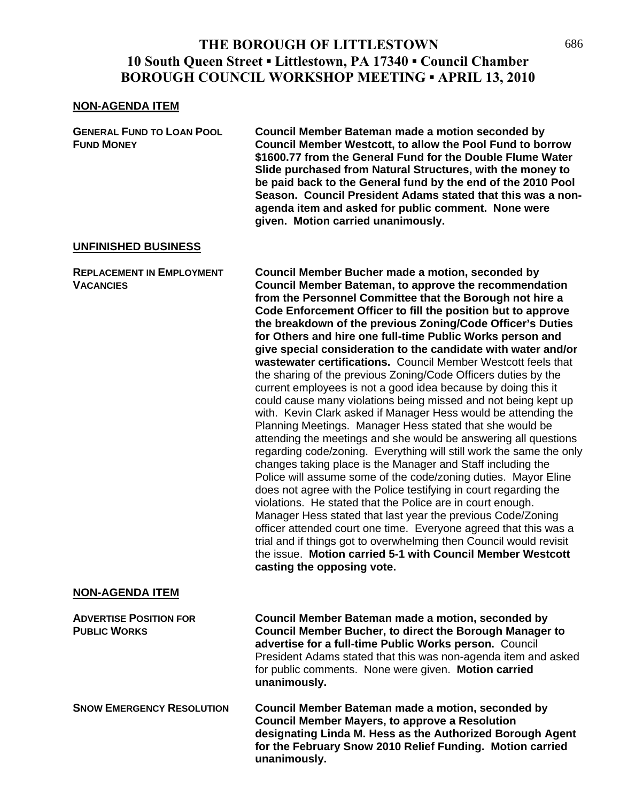### **THE BOROUGH OF LITTLESTOWN 10 South Queen Street ▪ Littlestown, PA 17340 ▪ Council Chamber BOROUGH COUNCIL WORKSHOP MEETING ▪ APRIL 13, 2010**

#### **NON-AGENDA ITEM**

**GENERAL FUND TO LOAN POOL Council Member Bateman made a motion seconded by FUND MONEY Council Member Westcott, to allow the Pool Fund to borrow \$1600.77 from the General Fund for the Double Flume Water Slide purchased from Natural Structures, with the money to be paid back to the General fund by the end of the 2010 Pool Season. Council President Adams stated that this was a nonagenda item and asked for public comment. None were given. Motion carried unanimously.** 

#### **UNFINISHED BUSINESS**

### **REPLACEMENT IN EMPLOYMENT Council Member Bucher made a motion, seconded by VACANCIES Council Member Bateman, to approve the recommendation from the Personnel Committee that the Borough not hire a Code Enforcement Officer to fill the position but to approve the breakdown of the previous Zoning/Code Officer's Duties for Others and hire one full-time Public Works person and give special consideration to the candidate with water and/or wastewater certifications.** Council Member Westcott feels that the sharing of the previous Zoning/Code Officers duties by the current employees is not a good idea because by doing this it could cause many violations being missed and not being kept up with. Kevin Clark asked if Manager Hess would be attending the Planning Meetings. Manager Hess stated that she would be attending the meetings and she would be answering all questions regarding code/zoning. Everything will still work the same the only changes taking place is the Manager and Staff including the Police will assume some of the code/zoning duties. Mayor Eline does not agree with the Police testifying in court regarding the violations. He stated that the Police are in court enough. Manager Hess stated that last year the previous Code/Zoning officer attended court one time. Everyone agreed that this was a trial and if things got to overwhelming then Council would revisit the issue. **Motion carried 5-1 with Council Member Westcott casting the opposing vote. NON-AGENDA ITEM**

**ADVERTISE POSITION FOR Council Member Bateman made a motion, seconded by PUBLIC WORKS Council Member Bucher, to direct the Borough Manager to advertise for a full-time Public Works person.** Council President Adams stated that this was non-agenda item and asked for public comments. None were given. **Motion carried unanimously.**

**SNOW EMERGENCY RESOLUTION Council Member Bateman made a motion, seconded by Council Member Mayers, to approve a Resolution designating Linda M. Hess as the Authorized Borough Agent for the February Snow 2010 Relief Funding. Motion carried unanimously.**